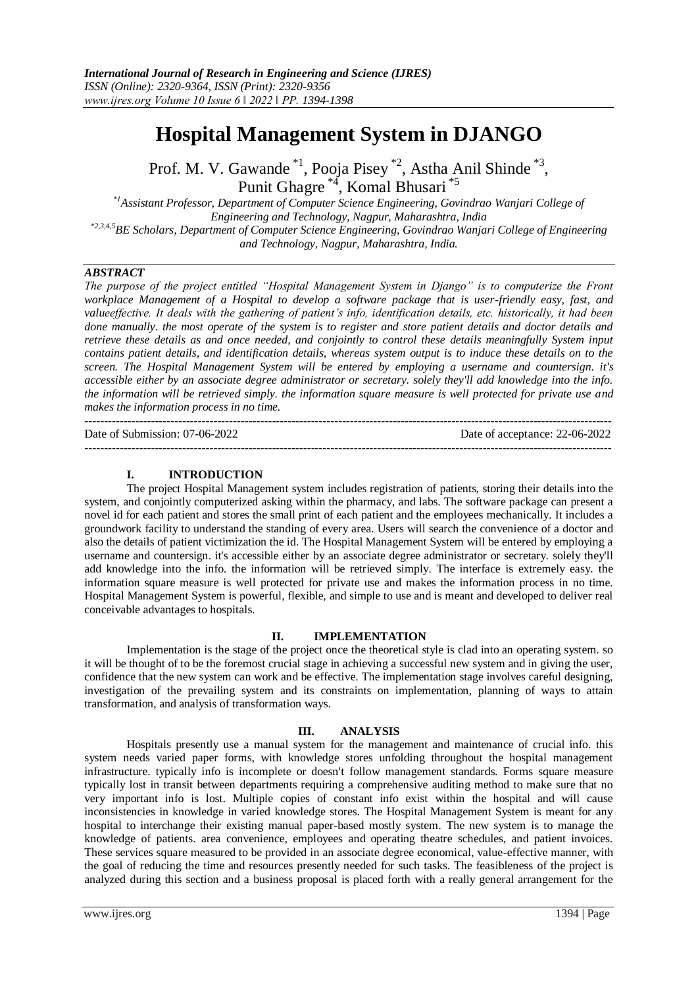# **Hospital Management System in DJANGO**

Prof. M. V. Gawande<sup>\*1</sup>, Pooja Pisey<sup>\*2</sup>, Astha Anil Shinde<sup>\*3</sup>, Punit Ghagre<sup>\*4</sup>, Komal Bhusari<sup>\*5</sup>

*\*1Assistant Professor, Department of Computer Science Engineering, Govindrao Wanjari College of Engineering and Technology, Nagpur, Maharashtra, India \*2,3,4,5BE Scholars, Department of Computer Science Engineering, Govindrao Wanjari College of Engineering and Technology, Nagpur, Maharashtra, India.* 

# *ABSTRACT*

*The purpose of the project entitled "Hospital Management System in Django" is to computerize the Front workplace Management of a Hospital to develop a software package that is user-friendly easy, fast, and valueeffective. It deals with the gathering of patient's info, identification details, etc. historically, it had been*  done manually, the most operate of the system is to register and store patient details and doctor details and *retrieve these details as and once needed, and conjointly to control these details meaningfully System input contains patient details, and identification details, whereas system output is to induce these details on to the screen. The Hospital Management System will be entered by employing a username and countersign. it's accessible either by an associate degree administrator or secretary. solely they'll add knowledge into the info. the information will be retrieved simply. the information square measure is well protected for private use and makes the information process in no time.* 

 $-1\leq i\leq n-1$ Date of Submission: 07-06-2022 Date of acceptance: 22-06-2022 ---------------------------------------------------------------------------------------------------------------------------------------

## **I. INTRODUCTION**

The project Hospital Management system includes registration of patients, storing their details into the system, and conjointly computerized asking within the pharmacy, and labs. The software package can present a novel id for each patient and stores the small print of each patient and the employees mechanically. It includes a groundwork facility to understand the standing of every area. Users will search the convenience of a doctor and also the details of patient victimization the id. The Hospital Management System will be entered by employing a username and countersign. it's accessible either by an associate degree administrator or secretary. solely they'll add knowledge into the info. the information will be retrieved simply. The interface is extremely easy. the information square measure is well protected for private use and makes the information process in no time. Hospital Management System is powerful, flexible, and simple to use and is meant and developed to deliver real conceivable advantages to hospitals.

## **II. IMPLEMENTATION**

Implementation is the stage of the project once the theoretical style is clad into an operating system. so it will be thought of to be the foremost crucial stage in achieving a successful new system and in giving the user, confidence that the new system can work and be effective. The implementation stage involves careful designing, investigation of the prevailing system and its constraints on implementation, planning of ways to attain transformation, and analysis of transformation ways.

## **III. ANALYSIS**

Hospitals presently use a manual system for the management and maintenance of crucial info. this system needs varied paper forms, with knowledge stores unfolding throughout the hospital management infrastructure. typically info is incomplete or doesn't follow management standards. Forms square measure typically lost in transit between departments requiring a comprehensive auditing method to make sure that no very important info is lost. Multiple copies of constant info exist within the hospital and will cause inconsistencies in knowledge in varied knowledge stores. The Hospital Management System is meant for any hospital to interchange their existing manual paper-based mostly system. The new system is to manage the knowledge of patients. area convenience, employees and operating theatre schedules, and patient invoices. These services square measured to be provided in an associate degree economical, value-effective manner, with the goal of reducing the time and resources presently needed for such tasks. The feasibleness of the project is analyzed during this section and a business proposal is placed forth with a really general arrangement for the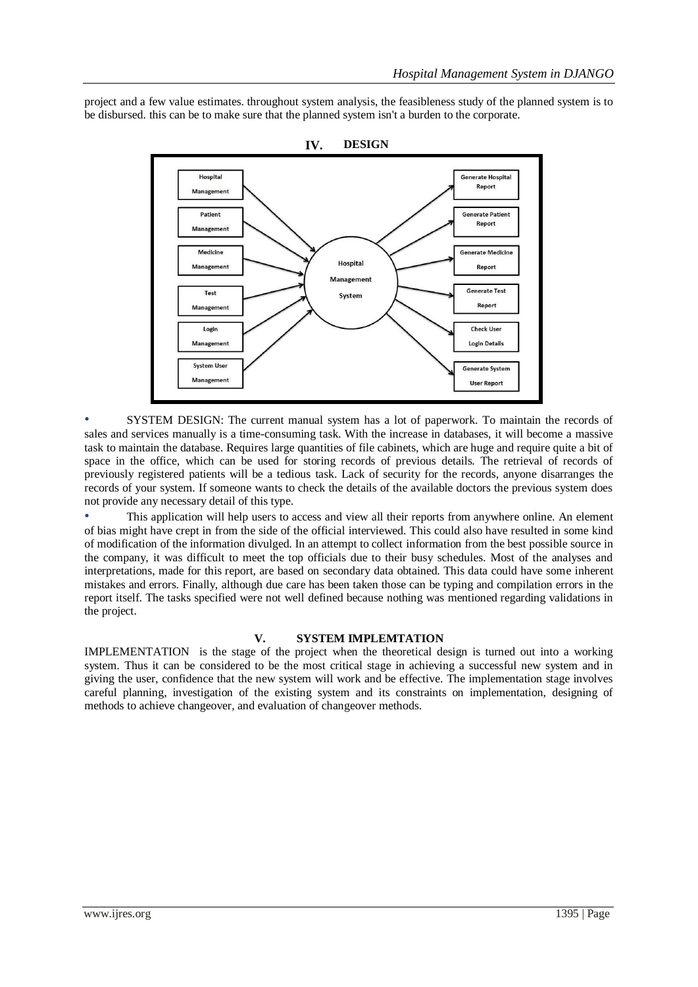project and a few value estimates. throughout system analysis, the feasibleness study of the planned system is to be disbursed. this can be to make sure that the planned system isn't a burden to the corporate.



**IV. DESIGN**

• SYSTEM DESIGN: The current manual system has a lot of paperwork. To maintain the records of sales and services manually is a time-consuming task. With the increase in databases, it will become a massive task to maintain the database. Requires large quantities of file cabinets, which are huge and require quite a bit of space in the office, which can be used for storing records of previous details. The retrieval of records of previously registered patients will be a tedious task. Lack of security for the records, anyone disarranges the records of your system. If someone wants to check the details of the available doctors the previous system does not provide any necessary detail of this type.

• This application will help users to access and view all their reports from anywhere online. An element of bias might have crept in from the side of the official interviewed. This could also have resulted in some kind of modification of the information divulged. In an attempt to collect information from the best possible source in the company, it was difficult to meet the top officials due to their busy schedules. Most of the analyses and interpretations, made for this report, are based on secondary data obtained. This data could have some inherent mistakes and errors. Finally, although due care has been taken those can be typing and compilation errors in the report itself. The tasks specified were not well defined because nothing was mentioned regarding validations in the project.

## **V. SYSTEM IMPLEMTATION**

IMPLEMENTATION is the stage of the project when the theoretical design is turned out into a working system. Thus it can be considered to be the most critical stage in achieving a successful new system and in giving the user, confidence that the new system will work and be effective. The implementation stage involves careful planning, investigation of the existing system and its constraints on implementation, designing of methods to achieve changeover, and evaluation of changeover methods.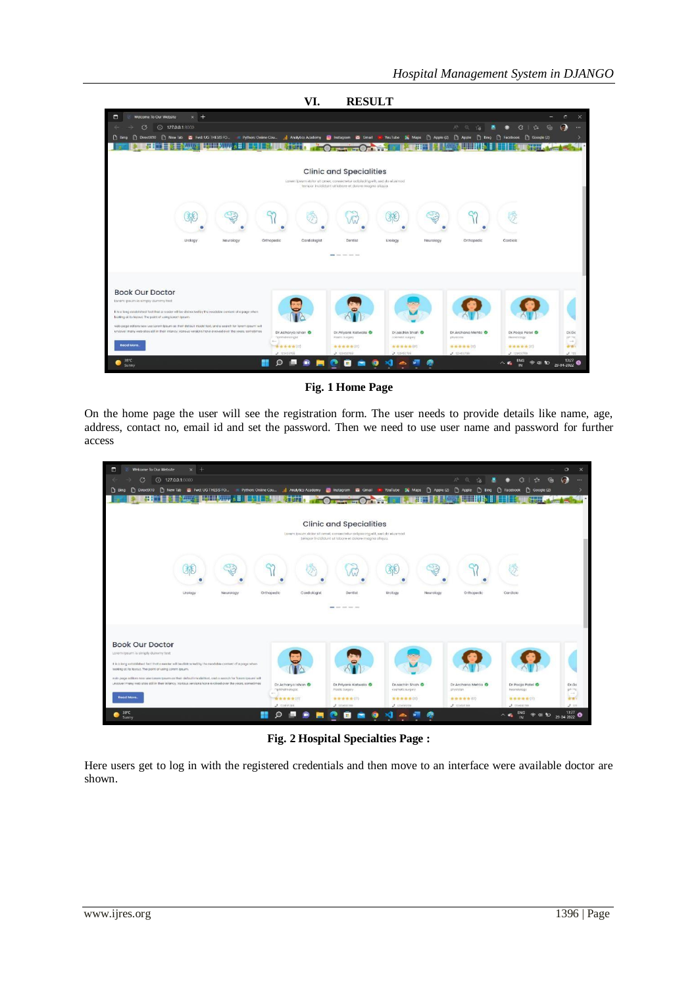

**Fig. 1 Home Page**

On the home page the user will see the registration form. The user needs to provide details like name, age, address, contact no, email id and set the password. Then we need to use user name and password for further access

| E<br>$\times$ +<br>Welcome To Our Website                                                                                                                                                                          |                            |                                                                                                          |                             |                              |                                           | $\circ$<br>$\times$          |
|--------------------------------------------------------------------------------------------------------------------------------------------------------------------------------------------------------------------|----------------------------|----------------------------------------------------------------------------------------------------------|-----------------------------|------------------------------|-------------------------------------------|------------------------------|
| $\circ$<br>(i) 127.0.0.1.8000                                                                                                                                                                                      |                            |                                                                                                          |                             | $\Delta^{\rm th}$<br>$\circ$ | 偏<br>Y≊.<br>G.                            | $\odot$<br>                  |
| [1] DirectX10 [1] New Tab [2] Fwd: UG THESIS FO = Python: Online Cou [1] Analytics Academy<br><b>D</b> Bing                                                                                                        |                            | <b>8</b> Instagram <b>&amp;</b> Gmail                                                                    | Maps n Apple (2)<br>YouTube | G<br>n<br>Apple<br>Bina      | C Google (2)<br>n<br>Facebook             |                              |
| <b>【十五十日 文王王》</b><br>7.HH W                                                                                                                                                                                        |                            |                                                                                                          |                             |                              |                                           |                              |
|                                                                                                                                                                                                                    |                            |                                                                                                          |                             |                              |                                           |                              |
|                                                                                                                                                                                                                    |                            |                                                                                                          |                             |                              |                                           |                              |
|                                                                                                                                                                                                                    |                            | <b>Clinic and Specialities</b><br>Lorem losum dolor sit omet, consectetur odipacing elit, sed do eiusmod |                             |                              |                                           |                              |
|                                                                                                                                                                                                                    |                            | tempor incididunt ut labore et dolore magna aliqua.                                                      |                             |                              |                                           |                              |
|                                                                                                                                                                                                                    |                            |                                                                                                          |                             |                              |                                           |                              |
|                                                                                                                                                                                                                    |                            |                                                                                                          |                             |                              |                                           |                              |
|                                                                                                                                                                                                                    |                            | In.                                                                                                      |                             |                              |                                           |                              |
|                                                                                                                                                                                                                    |                            |                                                                                                          |                             |                              |                                           |                              |
| Urology<br>Neurology                                                                                                                                                                                               | Orthopedic<br>Cardiologist | Dentist                                                                                                  | Urology<br>Neurology        | Orthopedia                   | Cardiolo                                  |                              |
|                                                                                                                                                                                                                    |                            |                                                                                                          |                             |                              |                                           |                              |
|                                                                                                                                                                                                                    |                            | was our test and the                                                                                     |                             |                              |                                           |                              |
|                                                                                                                                                                                                                    |                            |                                                                                                          |                             |                              |                                           |                              |
|                                                                                                                                                                                                                    |                            |                                                                                                          |                             |                              |                                           |                              |
| <b>Book Our Doctor</b>                                                                                                                                                                                             |                            |                                                                                                          |                             |                              |                                           |                              |
| Lorem Ipsum is simply dummy text                                                                                                                                                                                   |                            |                                                                                                          |                             |                              |                                           |                              |
| It is a long established fact that a redake will be distracted by the reackable content of a page when                                                                                                             |                            |                                                                                                          |                             |                              |                                           |                              |
| looking at its layout. The point of using Lorem Ipsum.                                                                                                                                                             |                            |                                                                                                          |                             |                              |                                           |                              |
| web page editors now use Lawen (pourn on their default model text, and a search for foreign pours' will<br>uncover many web sites still in their infancy. Various versions have evolved over the years, conveilmes | Dr.Acharya Ishan           | Dr.Priyanic Katwala                                                                                      | Dr.sachin Shah              | Dr.Archana Mehta             | Dr.Poojo Patel                            | Dr.Gc                        |
|                                                                                                                                                                                                                    | riphtholmologist<br>$\sim$ | <b>Ploatic Surgery</b>                                                                                   | cosmetic surgery            | physician                    | Noonatology                               | phillip<br>$\longrightarrow$ |
| Read More.                                                                                                                                                                                                         | 音曲曲曲曲(17)                  | ★ ★ ★ ★ ☆ (1)                                                                                            | 查查查查查(0)                    | ● ● ★ ★ ● (17)               | ★ ★ ★ ★ ★ (t7)                            | 安全                           |
| 39°C                                                                                                                                                                                                               | $J$ constrain              | $J$ insistes                                                                                             | $J$ crianisms               | $J$ minimu                   | $J$ . trans.ma                            | J: 121                       |
| Sunny                                                                                                                                                                                                              |                            |                                                                                                          |                             |                              | $FIN$<br>$Q \neq 0$<br>$\wedge$ $\bullet$ | $13:27$ 04 2022              |

**Fig. 2 Hospital Specialties Page :**

Here users get to log in with the registered credentials and then move to an interface were available doctor are shown.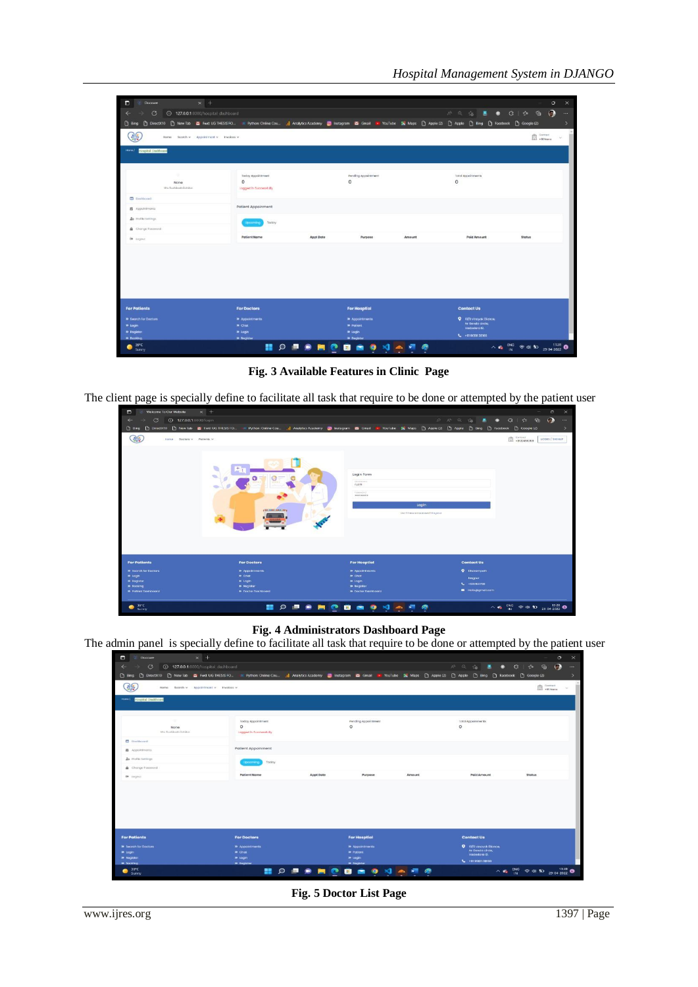| $x +$<br>œ<br>Doccure                                                      |                                   |           |                                     |               |                                  | $\circ$                                                        | $\times$ |
|----------------------------------------------------------------------------|-----------------------------------|-----------|-------------------------------------|---------------|----------------------------------|----------------------------------------------------------------|----------|
| $\circ$<br><b>427.0.0.1</b> :8000/hospital dashboard<br>$\leftarrow$<br>-> |                                   |           |                                     |               | A Q & 8 0 C   & &                | $\odot$                                                        | $\cdots$ |
|                                                                            |                                   |           |                                     |               |                                  |                                                                | ۰,       |
| 翡<br>Home Search v Appointment v Invoices v                                |                                   |           |                                     |               |                                  | EL General                                                     | $\omega$ |
| Home I<br>Hospital Dashboard                                               |                                   |           |                                     |               |                                  |                                                                |          |
|                                                                            |                                   |           |                                     |               |                                  |                                                                |          |
|                                                                            |                                   |           |                                     |               |                                  |                                                                |          |
| ٠                                                                          | Today Appointment                 |           | Pending Appointment                 |               | <b>Total Appoinments</b>         |                                                                |          |
| None<br>Mrs. Rushkouts Dotsiter                                            | $\circ$<br>Logged in Successfully |           | 0                                   |               | 0                                |                                                                |          |
| <b>D</b> Dailboard                                                         |                                   |           |                                     |               |                                  |                                                                |          |
| <b>数 Appointments</b>                                                      | Patient Appoinment                |           |                                     |               |                                  |                                                                |          |
|                                                                            |                                   |           |                                     |               |                                  |                                                                |          |
| <b>Zo</b> Profile Settings                                                 | Today<br>toconic                  |           |                                     |               |                                  |                                                                |          |
| Change Fassword                                                            |                                   |           |                                     |               |                                  |                                                                |          |
| De togout                                                                  | <b>Patient Name</b>               | Appt Dote | Purpose                             | <b>Amount</b> | <b>Paid Amount</b>               | Status                                                         |          |
|                                                                            |                                   |           |                                     |               |                                  |                                                                |          |
|                                                                            |                                   |           |                                     |               |                                  |                                                                |          |
|                                                                            |                                   |           |                                     |               |                                  |                                                                |          |
|                                                                            |                                   |           |                                     |               |                                  |                                                                |          |
|                                                                            |                                   |           |                                     |               |                                  |                                                                |          |
|                                                                            |                                   |           |                                     |               |                                  |                                                                |          |
| <b>For Patients</b>                                                        | <b>For Doctors</b>                |           | <b>For Hosptial</b>                 |               | <b>Contact Us</b>                |                                                                |          |
| <b>X</b> Secrich for Doctors                                               | <b>B</b> Appointments             |           | <b>III</b> Appointments             |               | <b>Q</b> 10/0 vineyak Dianos     |                                                                |          |
| <b>W</b> Login                                                             | » chat                            |           | <b>In Patient</b>                   |               | Nr členda circia.<br>Vododaro 12 |                                                                |          |
| <b>39 Rogistor</b><br>39 Booking                                           | » togn<br><b>»</b> fingither      |           | <b>»</b> Login<br><b>B</b> Segister |               | L +93 60811 38160                |                                                                |          |
| 39°C                                                                       | x<br>$\circ$                      | ۰<br>œ    | $\bullet$<br>в                      | 对血细胞          |                                  | $\wedge$ c <sub>2</sub> ENG $\otimes$ di 1D $_{29.04\,2022}$ O |          |

**Fig. 3 Available Features in Clinic Page**

The client page is specially define to facilitate all task that require to be done or attempted by the patient user

| $\Box$<br>Welcome To Our Website                         | $\times$ +                                                                                                                  |              |                                                               |                                         |                          |                                                                                                                                                                                        |                         | $\circ$<br>$\times$ |
|----------------------------------------------------------|-----------------------------------------------------------------------------------------------------------------------------|--------------|---------------------------------------------------------------|-----------------------------------------|--------------------------|----------------------------------------------------------------------------------------------------------------------------------------------------------------------------------------|-------------------------|---------------------|
| $\sigma$<br><b>127.0.0.1</b> :8000/login<br>$\leftarrow$ |                                                                                                                             |              |                                                               | $P - A^2$                               | Q<br>$\sim$              | ● 3 1 ☆                                                                                                                                                                                | $\odot$<br>$\mathbf{G}$ | $\cdots$            |
|                                                          | Bing [3] DirectX10 [3] New Tab [3] Fwd: UG THESIS FO (4) Python: Online Cou., 11 Analytics Academy [20] Instagram [3] Gmail |              |                                                               | <b>THE YouTube Ex Maps Apple (2)</b>    | <sup>3</sup> Apple       | □ Bing □ Facebook □ Google (2)                                                                                                                                                         |                         | $\rightarrow$       |
| 35<br>Home Doctors v Potlevis v                          |                                                                                                                             |              |                                                               |                                         |                          | 0.0123456709                                                                                                                                                                           |                         | LODIN / SIGNUP      |
|                                                          | ÷<br>o<br>U<br><b>HARRY</b><br><b>ISLEME MALES</b>                                                                          |              | Login Form<br>bbairigme<br>rushi<br>Fineworld.<br>----------- | Login<br>Don't how an occount? Register |                          |                                                                                                                                                                                        |                         |                     |
| <b>For Patients</b>                                      | <b>For Doctors</b>                                                                                                          |              | <b>For Hosptial</b>                                           |                                         | <b>Contact Us</b>        |                                                                                                                                                                                        |                         |                     |
| <b>39 Search for Doctors</b><br><b>10. Login</b>         | » appointments<br>» chat                                                                                                    |              | >> Appointments<br>» chat                                     |                                         | <b>Q</b> Dharampath      |                                                                                                                                                                                        |                         |                     |
| <b>39 Register</b>                                       | » logn                                                                                                                      |              | » togn                                                        |                                         | <b>Nogour</b>            |                                                                                                                                                                                        |                         |                     |
| <b>»</b> Rooking                                         | <b>30 Rugister</b>                                                                                                          |              | <b>39 Register</b>                                            |                                         | $L = +123456780$         |                                                                                                                                                                                        |                         |                     |
| <b>39 Pollant Doshboord</b>                              | <b>39 Doctor Dashboard</b>                                                                                                  |              | <b>39 Doctor Dashboard</b>                                    |                                         | <b>B</b> Hellogigmaticam |                                                                                                                                                                                        |                         |                     |
| 39°C<br>œ<br>Sunny                                       | m<br>$\circ$                                                                                                                | P<br>-m<br>∙ | $\bullet$<br>$^{\circ}$                                       | ማ                                       |                          | $\begin{array}{ccccc} \wedge & \bullet & {}^{10G} & \otimes & \bullet & \bullet & {}^{1328} \\ \hline & \vline & {}^{10G} & \otimes & \bullet & \bullet & {}^{29.04-2022} \end{array}$ |                         |                     |

**Fig. 4 Administrators Dashboard Page**

The admin panel is specially define to facilitate all task that require to be done or attempted by the patient user

| $x +$<br>$\blacksquare$<br>Doccure<br>$\circ$<br><b>427.0.0.1</b> :8000/hospital dashboard |                                         |                                                                                                                                                                       |        | A <sup>N</sup> Q                                      | $\circ$<br>$\times$<br>$\odot$<br>$\cdots$        |
|--------------------------------------------------------------------------------------------|-----------------------------------------|-----------------------------------------------------------------------------------------------------------------------------------------------------------------------|--------|-------------------------------------------------------|---------------------------------------------------|
| $\leftarrow$                                                                               |                                         |                                                                                                                                                                       |        | 36                                                    | $\bullet \bullet \bullet \bullet \bullet \bullet$ |
| <b>D</b> Bing                                                                              |                                         | D DirectX10 D New lab 酉 Fwd:UGTHESISTO ※ Python: Online Cou (   Analytics Academy @ Instagram 酉 Gmail ■ YouTube 및 Maps D Apple ② Dyple ① Bing D Facebook D Google (2) |        |                                                       | ь                                                 |
| 릚<br>Home Scorch v Appointment v Invoices v                                                |                                         |                                                                                                                                                                       |        |                                                       | EL Ganton<br>$\sim$                               |
| some /<br>Hospital Dashboard                                                               |                                         |                                                                                                                                                                       |        |                                                       |                                                   |
| -                                                                                          | Teday Appointment                       | Pending Appointment                                                                                                                                                   |        | Total Appointments                                    |                                                   |
| None<br>Mrs. Rushkouts Dotsker                                                             | $\circ$<br>Logged in Successfully       | $^{\circ}$                                                                                                                                                            |        | $\circ$                                               |                                                   |
| Doubleoord                                                                                 |                                         |                                                                                                                                                                       |        |                                                       |                                                   |
| <b>器</b> Appointments                                                                      | Patient Appoinment                      |                                                                                                                                                                       |        |                                                       |                                                   |
| <b>Zo</b> Profile Settings                                                                 | Today<br><b>Shipping</b>                |                                                                                                                                                                       |        |                                                       |                                                   |
| Change Fassword                                                                            |                                         |                                                                                                                                                                       |        |                                                       |                                                   |
| De Logout                                                                                  | <b>Patient Name</b>                     | <b>Appt Date</b><br>Purpose                                                                                                                                           | Amount | <b>Paid Amount</b>                                    | Status                                            |
|                                                                                            |                                         |                                                                                                                                                                       |        |                                                       |                                                   |
| <b>For Patients</b>                                                                        |                                         | <b>For Hosptial</b>                                                                                                                                                   |        | <b>Contact Us</b>                                     |                                                   |
|                                                                                            | <b>For Doctors</b>                      |                                                                                                                                                                       |        |                                                       |                                                   |
| <b>39 Search for Doctors</b><br><b>W</b> Login                                             | <b>39 Appointments</b><br><b>»</b> chut | <b>In Appointments</b><br><b>In Patient</b>                                                                                                                           |        | <b>Q</b> 10/0 vineyok Diance.<br>Nr Genda circie,     |                                                   |
| <b>*</b> Register                                                                          | <b>* logn</b>                           | <b>39 Login</b>                                                                                                                                                       |        | Vadodara 12.<br>$L$ $\leftrightarrow$ $m$ poem senso. |                                                   |
| » hooking<br>39°C                                                                          | <b>39 Engineer</b><br>$\circ$           | <b>B</b> Recister<br>$\bullet$<br>◉                                                                                                                                   | o      |                                                       | $\wedge$ or ENG $\otimes$ di to 29.04.2022 0      |
| Sunny                                                                                      |                                         | ш                                                                                                                                                                     |        |                                                       |                                                   |

**Fig. 5 Doctor List Page**